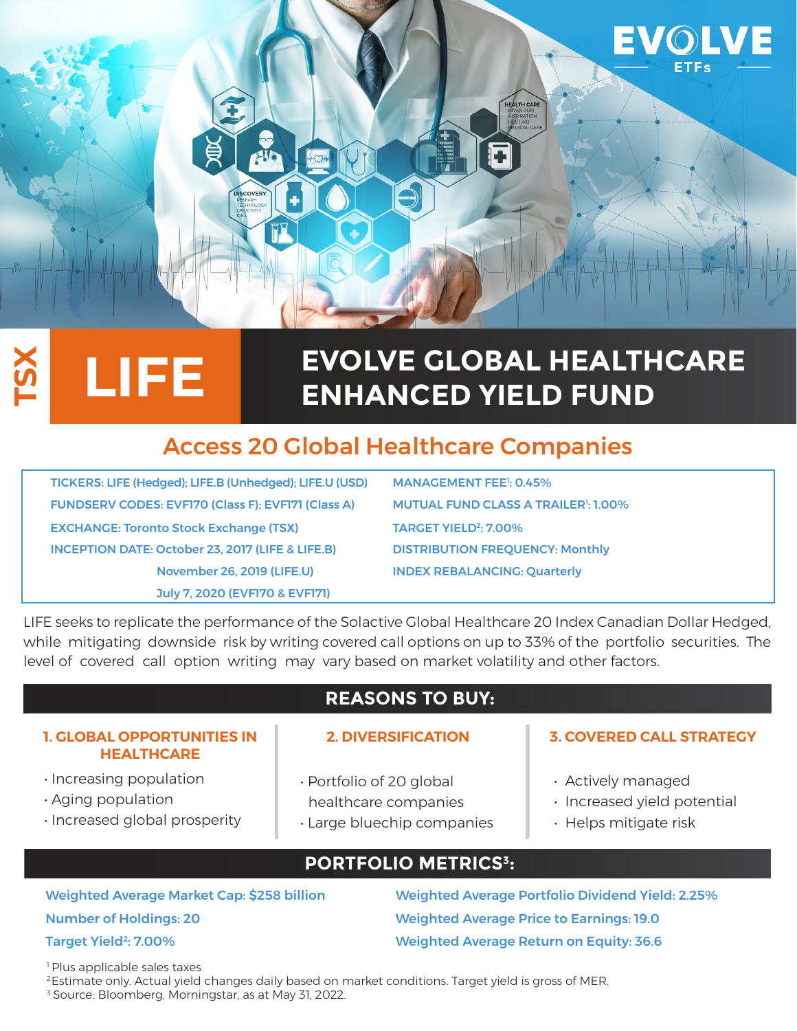

# **EVOLVE GLOBAL HEALTHCARE ENHANCED YIELD FUND**

## Access 20 Global Healthcare Companies

TICKERS: LIFE (Hedged); LIFE.B (Unhedged); LIFE.U (USD) FUNDSERV CODES: EVF170 (Class F); EVF171 (Class A) EXCHANGE: Toronto Stock Exchange (TSX) TARGET YIELD<sup>2</sup>: 7.00% INCEPTION DATE: October 23, 2017 (LIFE & LIFE.B) DISTRIBUTION FREQUENCY: Monthly November 26, 2019 (LIFE.U) INDEX REBALANCING: Quarterly July 7, 2020 (EVF170 & EVF171)

MANAGEMENT FEE<sup>1</sup>: 0.45% MUTUAL FUND CLASS A TRAILER<sup>1</sup>: 1.00%

LIFE seeks to replicate the performance of the Solactive Global Healthcare 20 Index Canadian Dollar Hedged, while mitigating downside risk by writing covered call options on up to 33% of the portfolio securities. The level of covered call option writing may vary based on market volatility and other factors.

### **REASONS TO BUY:**

#### **1. GLOBAL OPPORTUNITIES IN HEALTHCARE**

LIFE

- Increasing population
- Aging population

Š

- Increased global prosperity
- Portfolio of 20 global healthcare companies
- Large bluechip companies

#### **2. DIVERSIFICATION 3. COVERED CALL STRATEGY**

- Actively managed
- Increased yield potential
- Helps mitigate risk

### **PORTFOLIO METRICS3:**

Number of Holdings: 20 Weighted Average Price to Earnings: 19.0 Target Yield2: 7.00% Weighted Average Return on Equity: 36.6

Weighted Average Market Cap: \$258 billion Weighted Average Portfolio Dividend Yield: 2.25%

<sup>1</sup> Plus applicable sales taxes

<sup>2</sup> Estimate only. Actual yield changes daily based on market conditions. Target yield is gross of MER.

3 Source: Bloomberg, Morningstar, as at May 31, 2022.